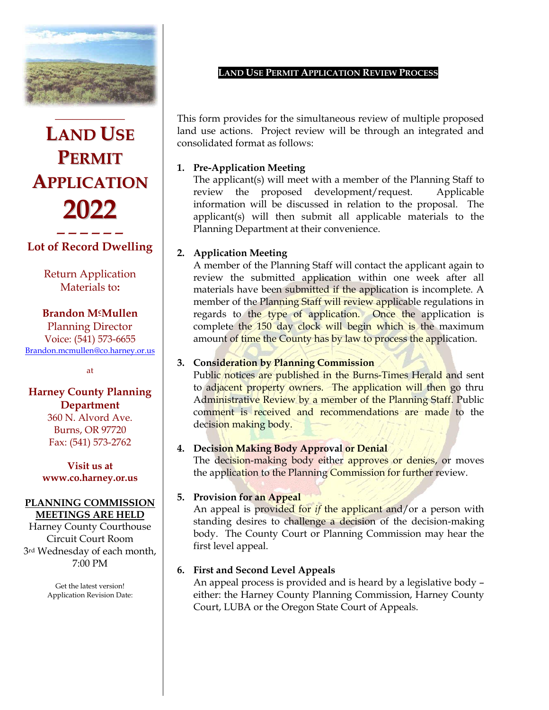

**LAND USE PERMIT APPLICATION 2022 ——————**

### **Lot of Record Dwelling**

Return Application Materials to**:**

#### **Brandon McMullen**

Planning Director Voice: (541) 573-6655 [Brandon.mcmullen@co.harney.or.us](mailto:Brandon.mcmullen@co.harney.or.us)

at

### **Harney County Planning Department**

360 N. Alvord Ave. Burns, OR 97720 Fax: (541) 573-2762

#### **Visit us at [www.co.harney.or.us](http://www.co.harney.or.us/)**

#### **PLANNING COMMISSION MEETINGS ARE HELD**

Harney County Courthouse Circuit Court Room 3rd Wednesday of each month, 7:00 PM

> Get the latest version! Application Revision Date:

#### **LAND USE PERMIT APPLICATION REVIEW PROCESS**

This form provides for the simultaneous review of multiple proposed land use actions. Project review will be through an integrated and consolidated format as follows:

### **1. Pre-Application Meeting**

The applicant(s) will meet with a member of the Planning Staff to review the proposed development/request. Applicable information will be discussed in relation to the proposal. The applicant(s) will then submit all applicable materials to the Planning Department at their convenience.

### **2. Application Meeting**

A member of the Planning Staff will contact the applicant again to review the submitted application within one week after all materials have been submitted if the application is incomplete. A member of the Planning Staff will review applicable regulations in regards to the type of application. Once the application is complete the 150 day clock will begin which is the maximum amount of time the County has by law to process the application.

### **3. Consideration by Planning Commission**

Public notices are published in the Burns-Times Herald and sent to adjacent property owners. The application will then go thru Administrative Review by a member of the Planning Staff. Public comment is received and recommendations are made to the decision making body.

### **4. Decision Making Body Approval or Denial**

The decision-making body either approves or denies, or moves the application to the Planning Commission for further review.

#### **5. Provision for an Appeal**

An appeal is provided for *if* the applicant and/or a person with standing desires to challenge a decision of the decision-making body. The County Court or Planning Commission may hear the first level appeal.

### **6. First and Second Level Appeals**

An appeal process is provided and is heard by a legislative body – either: the Harney County Planning Commission, Harney County Court, LUBA or the Oregon State Court of Appeals.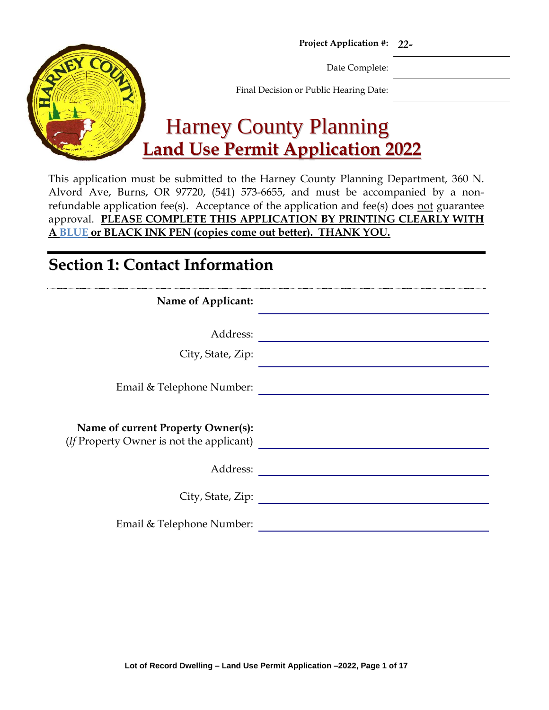**Project Application #:** *22-*



Date Complete:

Final Decision or Public Hearing Date:

# Harney County Planning **Land Use Permit Application 2022**

This application must be submitted to the Harney County Planning Department, 360 N. Alvord Ave, Burns, OR 97720, (541) 573-6655, and must be accompanied by a nonrefundable application fee(s). Acceptance of the application and fee(s) does not guarantee approval. **PLEASE COMPLETE THIS APPLICATION BY PRINTING CLEARLY WITH A BLUE or BLACK INK PEN (copies come out better). THANK YOU.**

## **Section 1: Contact Information**

| Name of Applicant:                                                                     |
|----------------------------------------------------------------------------------------|
| Address:<br>City, State, Zip:                                                          |
| Email & Telephone Number:                                                              |
| Name of current Property Owner(s):<br>( <i>If</i> Property Owner is not the applicant) |
| Address:                                                                               |
| City, State, Zip:                                                                      |
| Email & Telephone Number:                                                              |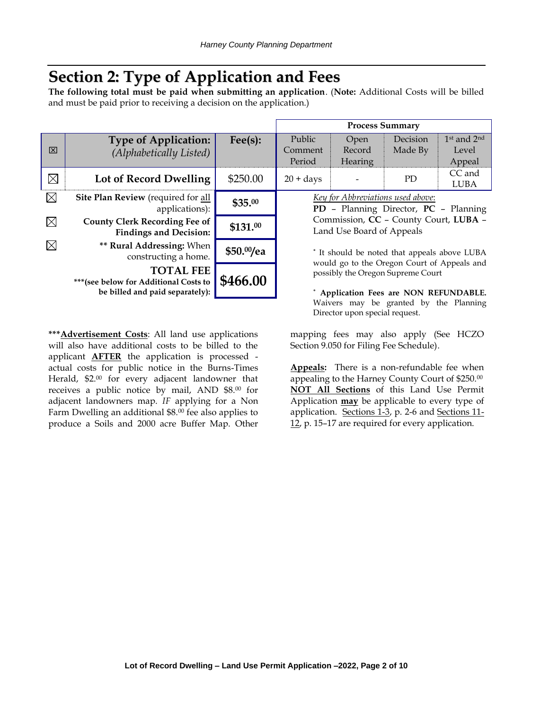## **Section 2: Type of Application and Fees**

**The following total must be paid when submitting an application**. (**Note:** Additional Costs will be billed and must be paid prior to receiving a decision on the application.)

| 冈           | <b>Type of Application:</b><br>(Alphabetically Listed)                                        | $\text{Fee}(s)$ : | Public<br>Comment<br>Period                                                                | Open<br>Record<br>Hearing | Decision<br>Made By                 | $1st$ and $2n$<br>Level<br>Appeal |
|-------------|-----------------------------------------------------------------------------------------------|-------------------|--------------------------------------------------------------------------------------------|---------------------------|-------------------------------------|-----------------------------------|
| $\boxtimes$ | Lot of Record Dwelling                                                                        | \$250.00          | $20 + days$                                                                                |                           | PD <sub>1</sub>                     | CC and<br>LUBA                    |
| $\boxtimes$ | Site Plan Review (required for all<br>applications):                                          | \$35.00           | Key for Abbreviations used above:<br>PD - Planning Director, PC - Plannin                  |                           |                                     |                                   |
| $\boxtimes$ | <b>County Clerk Recording Fee of</b><br><b>Findings and Decision:</b>                         | \$131.00          |                                                                                            | Land Use Board of Appeals | Commission, CC - County Court, LUBA |                                   |
| $\boxtimes$ | ** Rural Addressing: When<br>constructing a home.                                             | \$50.00/ea        | * It should be noted that appeals above LUB.<br>would go to the Oregon Court of Appeals an |                           |                                     |                                   |
|             | <b>TOTAL FEE</b><br>*** (see below for Additional Costs to<br>be billed and paid separately): | \$466.00          | possibly the Oregon Supreme Court<br>Application Fees are NON REFUNDABLI                   |                           |                                     |                                   |

**\*\*\*Advertisement Costs**: All land use applications will also have additional costs to be billed to the applicant **AFTER** the application is processed actual costs for public notice in the Burns-Times Herald, \$2.00 for every adjacent landowner that receives a public notice by mail, AND \$8.<sup>00</sup> for adjacent landowners map. *IF* applying for a Non Farm Dwelling an additional \$8.00 fee also applies to produce a Soils and 2000 acre Buffer Map. Other **Process Summary**

˚ **Application Fees are NON REFUNDABLE.** Waivers may be granted by the Planning Director upon special request.

mapping fees may also apply (See HCZO Section 9.050 for Filing Fee Schedule).

**Appeals:** There is a non-refundable fee when appealing to the Harney County Court of \$250.00 **NOT All Sections** of this Land Use Permit Application **may** be applicable to every type of application. Sections 1-3, p. 2-6 and Sections 11-12, p. 15–17 are required for every application.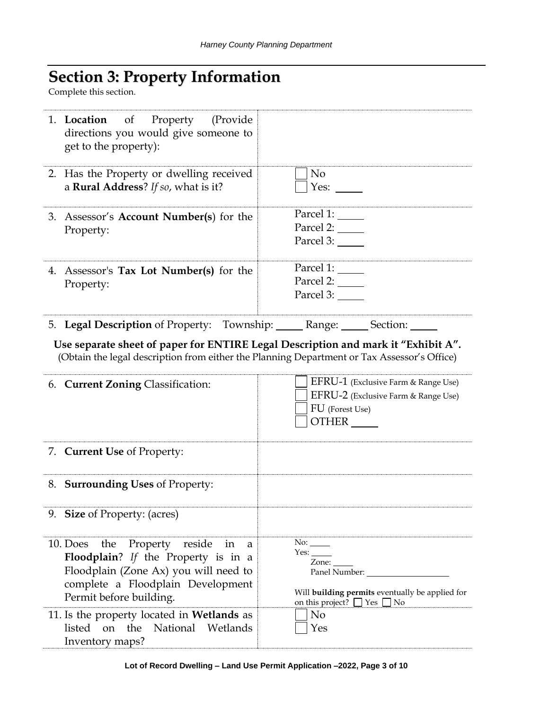# **Section 3: Property Information**

Complete this section.

| 1. <b>Location</b> of Property (Provide<br>directions you would give someone to<br>get to the property):                                                                                                                                 |                                                                                                                                                                                  |
|------------------------------------------------------------------------------------------------------------------------------------------------------------------------------------------------------------------------------------------|----------------------------------------------------------------------------------------------------------------------------------------------------------------------------------|
| 2. Has the Property or dwelling received<br>a Rural Address? If so, what is it?                                                                                                                                                          | No<br>Yes: $\_\_$                                                                                                                                                                |
| 3. Assessor's <b>Account Number(s)</b> for the<br>Property:                                                                                                                                                                              | Parcel 1:<br>Parcel 2:<br>Parcel 3:                                                                                                                                              |
| 4. Assessor's Tax Lot Number(s) for the<br>Property:                                                                                                                                                                                     | Parcel 1: $\_\_$<br>Parcel 2:<br>Parcel 3:                                                                                                                                       |
| 5. Legal Description of Property: Township: ______ Range: _____ Section: ____                                                                                                                                                            |                                                                                                                                                                                  |
|                                                                                                                                                                                                                                          |                                                                                                                                                                                  |
|                                                                                                                                                                                                                                          | Use separate sheet of paper for ENTIRE Legal Description and mark it "Exhibit A".<br>(Obtain the legal description from either the Planning Department or Tax Assessor's Office) |
| 6. Current Zoning Classification:                                                                                                                                                                                                        | EFRU-1 (Exclusive Farm & Range Use)<br>EFRU-2 (Exclusive Farm & Range Use)<br>FU (Forest Use)<br>OTHER                                                                           |
| 7. Current Use of Property:                                                                                                                                                                                                              |                                                                                                                                                                                  |
| 8. Surrounding Uses of Property:                                                                                                                                                                                                         |                                                                                                                                                                                  |
| 9. Size of Property: (acres)                                                                                                                                                                                                             |                                                                                                                                                                                  |
| the Property reside<br>10. Does<br>in<br>a<br>Floodplain? If the Property is in a<br>Floodplain (Zone Ax) you will need to<br>complete a Floodplain Development<br>Permit before building.<br>11. Is the property located in Wetlands as | No:<br>Zone:<br>Panel Number:<br>Will building permits eventually be applied for<br>on this project? □ Yes □ No<br>N <sub>o</sub>                                                |
| listed<br>on the<br>National<br>Wetlands<br>Inventory maps?                                                                                                                                                                              | Yes                                                                                                                                                                              |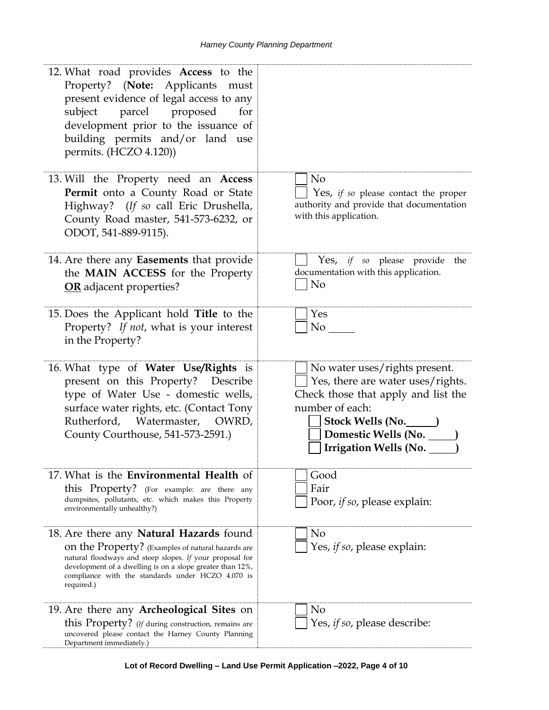| 12. What road provides Access to the<br>Property? (Note: Applicants must<br>present evidence of legal access to any<br>subject parcel proposed<br>for<br>development prior to the issuance of<br>building permits and/or land use<br>permits. (HCZO 4.120))                                     |                                                                                                                                                                                                           |
|-------------------------------------------------------------------------------------------------------------------------------------------------------------------------------------------------------------------------------------------------------------------------------------------------|-----------------------------------------------------------------------------------------------------------------------------------------------------------------------------------------------------------|
| 13. Will the Property need an Access<br>Permit onto a County Road or State<br>Highway? (If so call Eric Drushella,<br>County Road master, 541-573-6232, or<br>ODOT, 541-889-9115).                                                                                                              | N <sub>o</sub><br>Yes, <i>if so</i> please contact the proper<br>authority and provide that documentation<br>with this application.                                                                       |
| 14. Are there any Easements that provide<br>the MAIN ACCESS for the Property<br><b>OR</b> adjacent properties?                                                                                                                                                                                  | Yes, if so please provide the<br>documentation with this application.<br>N <sub>o</sub>                                                                                                                   |
| 15. Does the Applicant hold Title to the<br>Property? If not, what is your interest<br>in the Property?                                                                                                                                                                                         | Yes<br>No No                                                                                                                                                                                              |
| 16. What type of Water Use/Rights is<br>present on this Property? Describe<br>type of Water Use - domestic wells,<br>surface water rights, etc. (Contact Tony<br>Rutherford, Watermaster, OWRD,<br>County Courthouse, 541-573-2591.)                                                            | No water uses/rights present.<br>Yes, there are water uses/rights.<br>Check those that apply and list the<br>number of each:<br>Stock Wells (No. 1994)<br>Domestic Wells (No.<br>Irrigation Wells (No. __ |
| 17. What is the <b>Environmental Health</b> of<br>this Property? (For example: are there any<br>dumpsites, pollutants, etc. which makes this Property<br>environmentally unhealthy?)                                                                                                            | Good<br>Fair<br>Poor, <i>if so</i> , please explain:                                                                                                                                                      |
| 18. Are there any <b>Natural Hazards</b> found<br>on the Property? (Examples of natural hazards are<br>natural floodways and steep slopes. If your proposal for<br>development of a dwelling is on a slope greater than 12%,<br>compliance with the standards under HCZO 4.070 is<br>required.) | No<br>Yes, if so, please explain:                                                                                                                                                                         |
| 19. Are there any <b>Archeological Sites</b> on<br>this Property? (If during construction, remains are<br>uncovered please contact the Harney County Planning<br>Department immediately.)                                                                                                       | No<br>Yes, if so, please describe:                                                                                                                                                                        |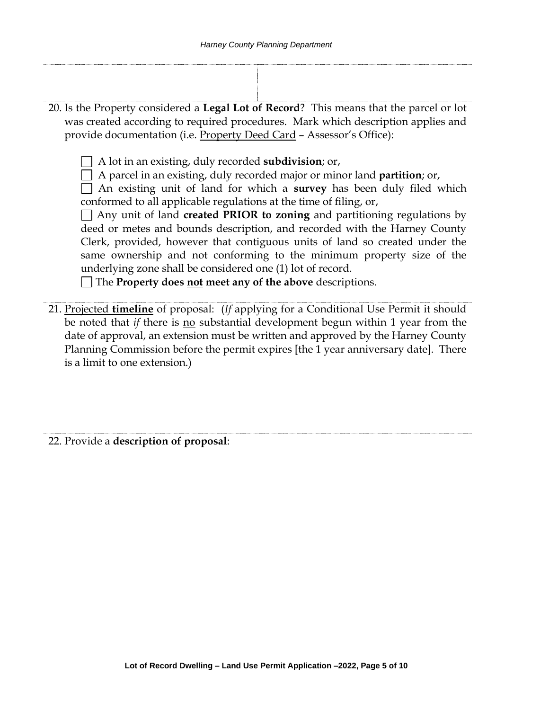20. Is the Property considered a **Legal Lot of Record**? This means that the parcel or lot was created according to required procedures. Mark which description applies and provide documentation (i.e. Property Deed Card – Assessor's Office):

A lot in an existing, duly recorded **subdivision**; or,

A parcel in an existing, duly recorded major or minor land **partition**; or,

An existing unit of land for which a **survey** has been duly filed which conformed to all applicable regulations at the time of filing, or,

Any unit of land **created PRIOR to zoning** and partitioning regulations by deed or metes and bounds description, and recorded with the Harney County Clerk, provided, however that contiguous units of land so created under the same ownership and not conforming to the minimum property size of the underlying zone shall be considered one (1) lot of record.

The **Property does not meet any of the above** descriptions.

21. Projected **timeline** of proposal: (*If* applying for a Conditional Use Permit it should be noted that *if* there is <u>no</u> substantial development begun within 1 year from the date of approval, an extension must be written and approved by the Harney County Planning Commission before the permit expires [the 1 year anniversary date]. There is a limit to one extension.)

22. Provide a **description of proposal**: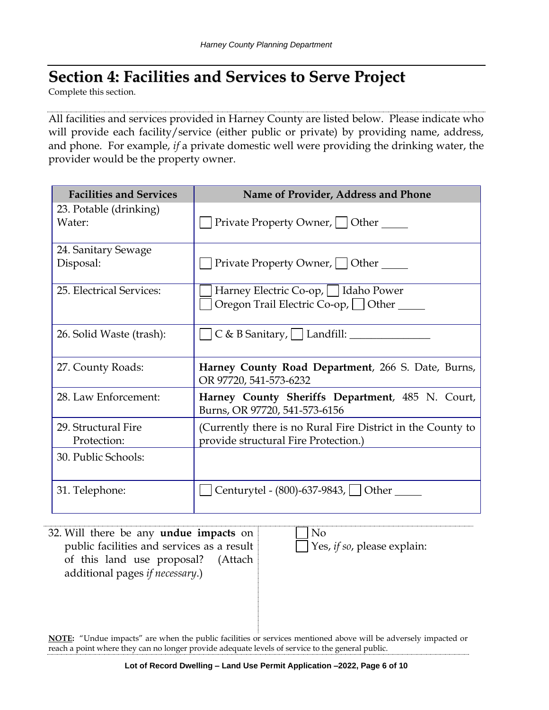# **Section 4: Facilities and Services to Serve Project**

Complete this section.

All facilities and services provided in Harney County are listed below. Please indicate who will provide each facility/service (either public or private) by providing name, address, and phone. For example, *if* a private domestic well were providing the drinking water, the provider would be the property owner.

| <b>Facilities and Services</b>   | Name of Provider, Address and Phone                                               |
|----------------------------------|-----------------------------------------------------------------------------------|
| 23. Potable (drinking)<br>Water: | Private Property Owner, Other                                                     |
| 24. Sanitary Sewage              |                                                                                   |
| Disposal:                        | Private Property Owner,     Other _____                                           |
| 25. Electrical Services:         | Harney Electric Co-op,     Idaho Power                                            |
|                                  | Oregon Trail Electric Co-op, Other                                                |
| 26. Solid Waste (trash):         |                                                                                   |
|                                  |                                                                                   |
| 27. County Roads:                | Harney County Road Department, 266 S. Date, Burns,<br>OR 97720, 541-573-6232      |
| 28. Law Enforcement:             | Harney County Sheriffs Department, 485 N. Court,<br>Burns, OR 97720, 541-573-6156 |
| 29. Structural Fire              | (Currently there is no Rural Fire District in the County to                       |
| Protection:                      | provide structural Fire Protection.)                                              |
| 30. Public Schools:              |                                                                                   |
| 31. Telephone:                   | Centurytel - (800)-637-9843, [ ] Other                                            |

32. Will there be any **undue impacts** on public facilities and services as a result of this land use proposal? (Attach additional pages *if necessary*.) No Yes, *if so*, please explain:

**NOTE:** "Undue impacts" are when the public facilities or services mentioned above will be adversely impacted or reach a point where they can no longer provide adequate levels of service to the general public.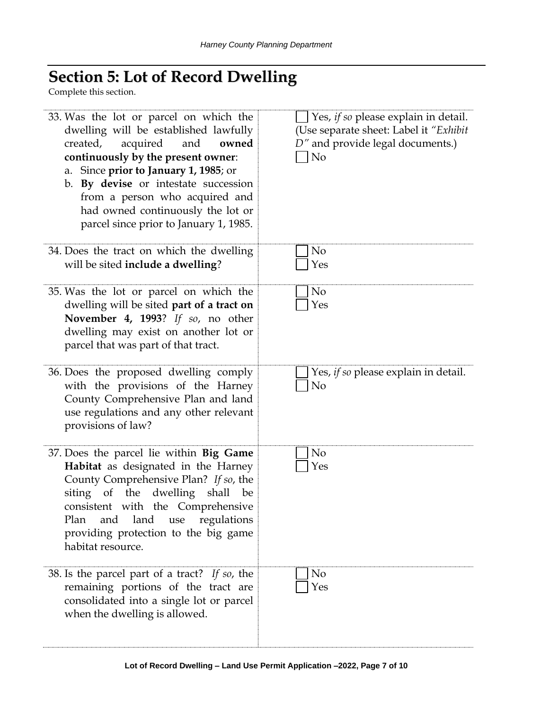# **Section 5: Lot of Record Dwelling**

Complete this section.

| 33. Was the lot or parcel on which the<br>dwelling will be established lawfully<br>acquired<br>created,<br>and<br>owned<br>continuously by the present owner:<br>a. Since prior to January 1, 1985; or<br>b. By devise or intestate succession<br>from a person who acquired and<br>had owned continuously the lot or<br>parcel since prior to January 1, 1985. | Yes, if so please explain in detail.<br>(Use separate sheet: Label it "Exhibit"<br>D" and provide legal documents.)<br>N <sub>o</sub> |
|-----------------------------------------------------------------------------------------------------------------------------------------------------------------------------------------------------------------------------------------------------------------------------------------------------------------------------------------------------------------|---------------------------------------------------------------------------------------------------------------------------------------|
| 34. Does the tract on which the dwelling<br>will be sited include a dwelling?                                                                                                                                                                                                                                                                                   | N <sub>o</sub><br>Yes                                                                                                                 |
| 35. Was the lot or parcel on which the<br>dwelling will be sited part of a tract on<br>November 4, 1993? If so, no other<br>dwelling may exist on another lot or<br>parcel that was part of that tract.                                                                                                                                                         | N <sub>o</sub><br>Yes                                                                                                                 |
| 36. Does the proposed dwelling comply<br>with the provisions of the Harney<br>County Comprehensive Plan and land<br>use regulations and any other relevant<br>provisions of law?                                                                                                                                                                                | Yes, if so please explain in detail.<br>No                                                                                            |
| 37. Does the parcel lie within Big Game<br>Habitat as designated in the Harney<br>County Comprehensive Plan? If so, the<br>siting of the dwelling shall be<br>consistent with the Comprehensive<br>land<br>and<br>Plan<br>regulations<br>use<br>providing protection to the big game<br>habitat resource.                                                       | No<br>Yes                                                                                                                             |
| 38. Is the parcel part of a tract? If so, the<br>remaining portions of the tract are<br>consolidated into a single lot or parcel<br>when the dwelling is allowed.                                                                                                                                                                                               | N <sub>o</sub><br>Yes                                                                                                                 |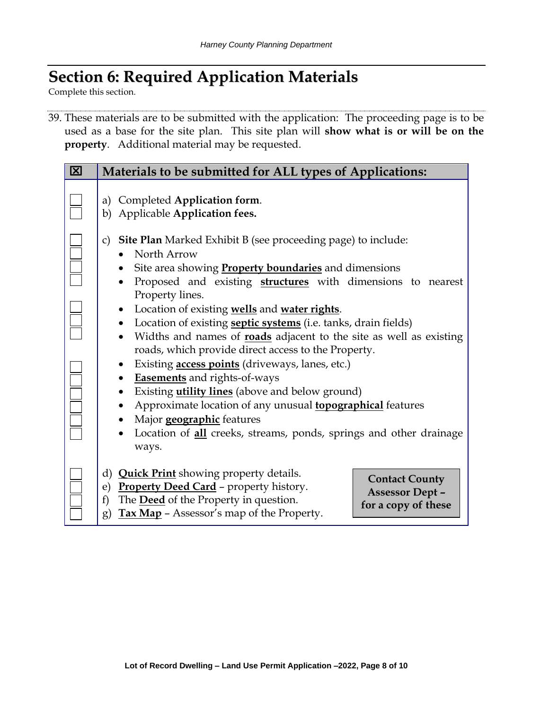# **Section 6: Required Application Materials**

Complete this section.

39. These materials are to be submitted with the application: The proceeding page is to be used as a base for the site plan. This site plan will **show what is or will be on the property**. Additional material may be requested.

| 囟 | Materials to be submitted for ALL types of Applications:                                                                                                                                                                                                                                                                                                                                                                                                                                                                                                                                                                                                                                                                                                                                                                                                                                                                         |
|---|----------------------------------------------------------------------------------------------------------------------------------------------------------------------------------------------------------------------------------------------------------------------------------------------------------------------------------------------------------------------------------------------------------------------------------------------------------------------------------------------------------------------------------------------------------------------------------------------------------------------------------------------------------------------------------------------------------------------------------------------------------------------------------------------------------------------------------------------------------------------------------------------------------------------------------|
|   | a) Completed Application form.<br>Applicable Application fees.<br>b)                                                                                                                                                                                                                                                                                                                                                                                                                                                                                                                                                                                                                                                                                                                                                                                                                                                             |
|   | Site Plan Marked Exhibit B (see proceeding page) to include:<br>C)<br>North Arrow<br>Site area showing <b>Property boundaries</b> and dimensions<br>Proposed and existing <b>structures</b> with dimensions to nearest<br>Property lines.<br>Location of existing wells and water rights.<br>$\bullet$<br>Location of existing <b>septic systems</b> (i.e. tanks, drain fields)<br>$\bullet$<br>Widths and names of roads adjacent to the site as well as existing<br>$\bullet$<br>roads, which provide direct access to the Property.<br>Existing <b>access points</b> (driveways, lanes, etc.)<br>$\bullet$<br><b>Easements</b> and rights-of-ways<br>$\bullet$<br>Existing <i>utility lines</i> (above and below ground)<br>$\bullet$<br>Approximate location of any unusual <b>topographical</b> features<br>Major geographic features<br>Location of <b>all</b> creeks, streams, ponds, springs and other drainage<br>ways. |
|   | d) <b>Quick Print</b> showing property details.<br><b>Contact County</b><br>Property Deed Card - property history.<br>e)<br><b>Assessor Dept -</b><br>The <b>Deed</b> of the Property in question.<br>f)<br>for a copy of these<br>Tax Map - Assessor's map of the Property.<br>g)                                                                                                                                                                                                                                                                                                                                                                                                                                                                                                                                                                                                                                               |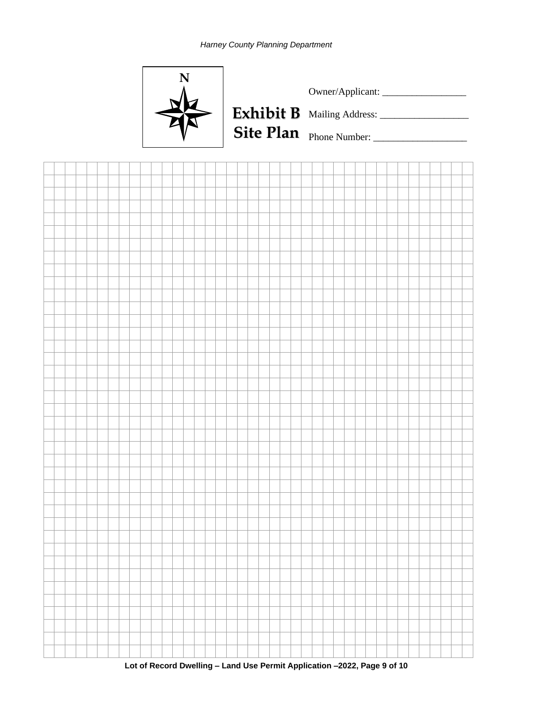



**Lot of Record Dwelling – Land Use Permit Application –2022, Page 9 of 10**